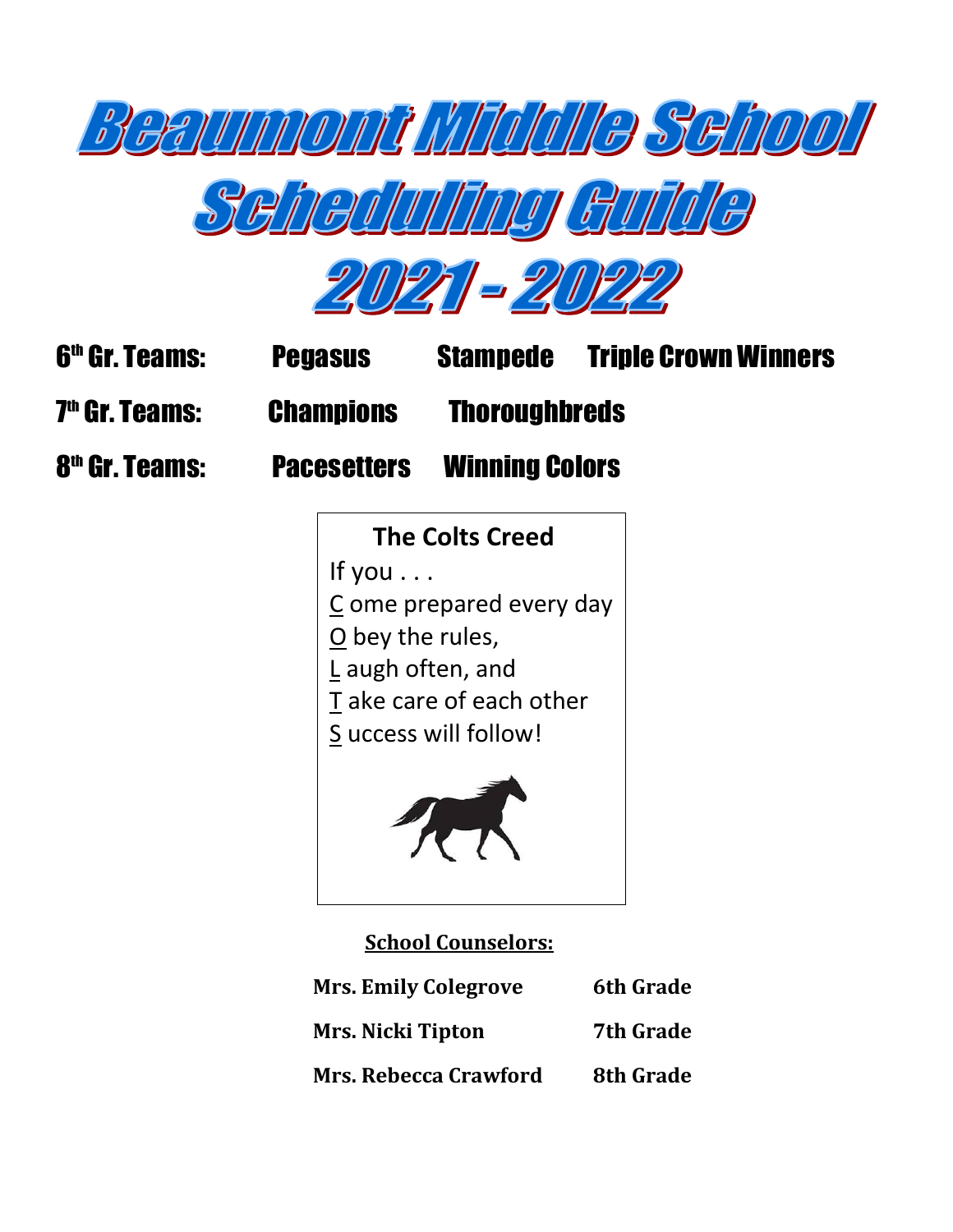





| <b>6<sup>th</sup> Gr. Teams:</b> | <b>Pegasus</b>     | <b>Stampede</b>       | <b>Triple Crown Winners</b> |
|----------------------------------|--------------------|-----------------------|-----------------------------|
| <b>7th Gr. Teams:</b>            | <b>Champions</b>   | <b>Thoroughbreds</b>  |                             |
| 8 <sup>th</sup> Gr. Teams:       | <b>Pacesetters</b> | <b>Winning Colors</b> |                             |



# **School Counselors:**

| <b>Mrs. Emily Colegrove</b>  | <b>6th Grade</b> |
|------------------------------|------------------|
| <b>Mrs. Nicki Tipton</b>     | <b>7th Grade</b> |
| <b>Mrs. Rebecca Crawford</b> | 8th Grade        |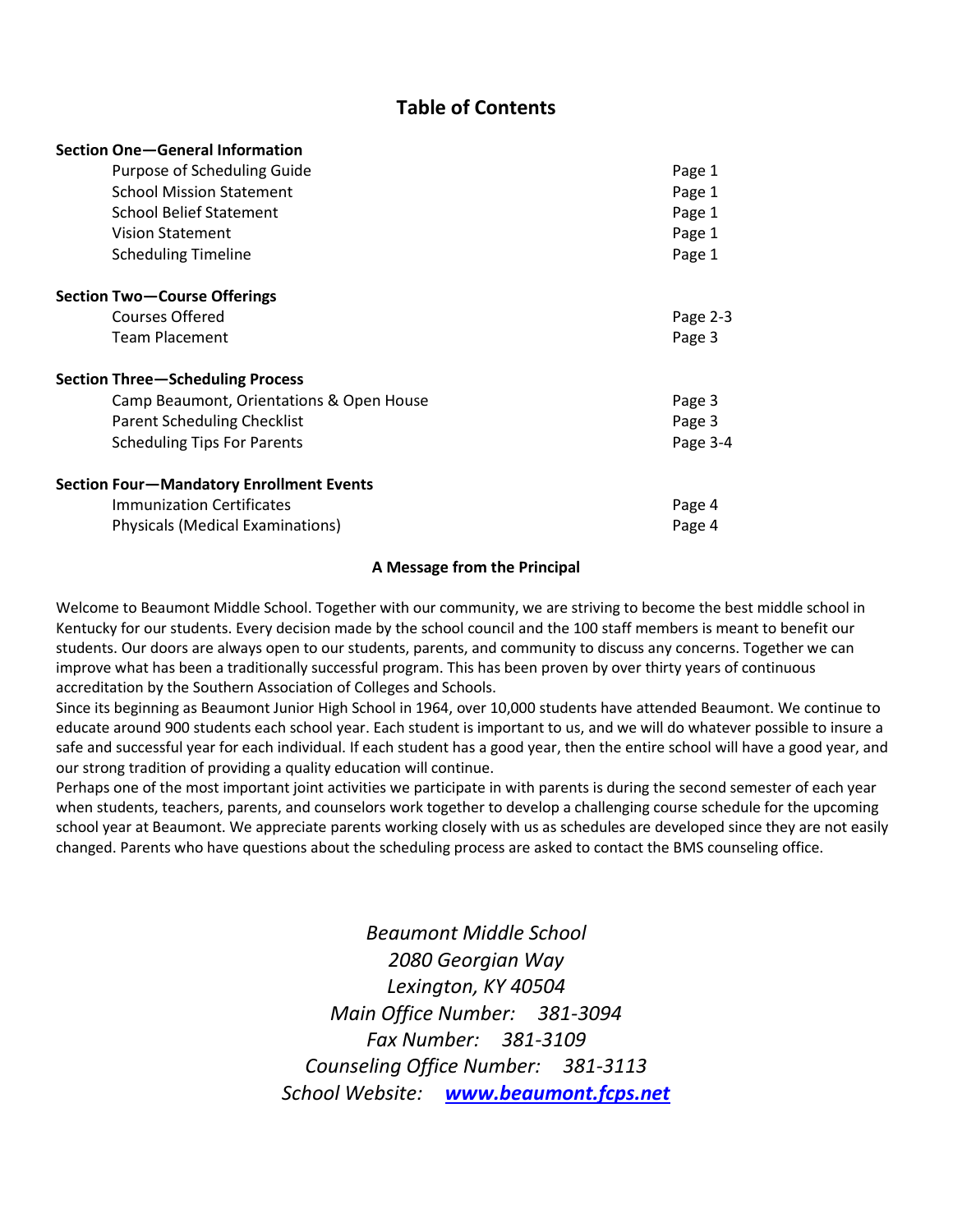# **Table of Contents**

| Section One-General Information                 |          |
|-------------------------------------------------|----------|
| Purpose of Scheduling Guide                     | Page 1   |
| <b>School Mission Statement</b>                 | Page 1   |
| <b>School Belief Statement</b>                  | Page 1   |
| <b>Vision Statement</b>                         | Page 1   |
| <b>Scheduling Timeline</b>                      | Page 1   |
| <b>Section Two-Course Offerings</b>             |          |
| Courses Offered                                 | Page 2-3 |
| <b>Team Placement</b>                           | Page 3   |
| <b>Section Three-Scheduling Process</b>         |          |
| Camp Beaumont, Orientations & Open House        | Page 3   |
| <b>Parent Scheduling Checklist</b>              | Page 3   |
| <b>Scheduling Tips For Parents</b>              | Page 3-4 |
| <b>Section Four-Mandatory Enrollment Events</b> |          |
| <b>Immunization Certificates</b>                | Page 4   |
| <b>Physicals (Medical Examinations)</b>         | Page 4   |

#### **A Message from the Principal**

Welcome to Beaumont Middle School. Together with our community, we are striving to become the best middle school in Kentucky for our students. Every decision made by the school council and the 100 staff members is meant to benefit our students. Our doors are always open to our students, parents, and community to discuss any concerns. Together we can improve what has been a traditionally successful program. This has been proven by over thirty years of continuous accreditation by the Southern Association of Colleges and Schools.

Since its beginning as Beaumont Junior High School in 1964, over 10,000 students have attended Beaumont. We continue to educate around 900 students each school year. Each student is important to us, and we will do whatever possible to insure a safe and successful year for each individual. If each student has a good year, then the entire school will have a good year, and our strong tradition of providing a quality education will continue.

Perhaps one of the most important joint activities we participate in with parents is during the second semester of each year when students, teachers, parents, and counselors work together to develop a challenging course schedule for the upcoming school year at Beaumont. We appreciate parents working closely with us as schedules are developed since they are not easily changed. Parents who have questions about the scheduling process are asked to contact the BMS counseling office.

> *Beaumont Middle School 2080 Georgian Way Lexington, KY 40504 Main Office Number: 381-3094 Fax Number: 381-3109 Counseling Office Number: 381-3113 School Website: [www.beaumont.fcps.net](http://www.beaumont.fcps.net/)*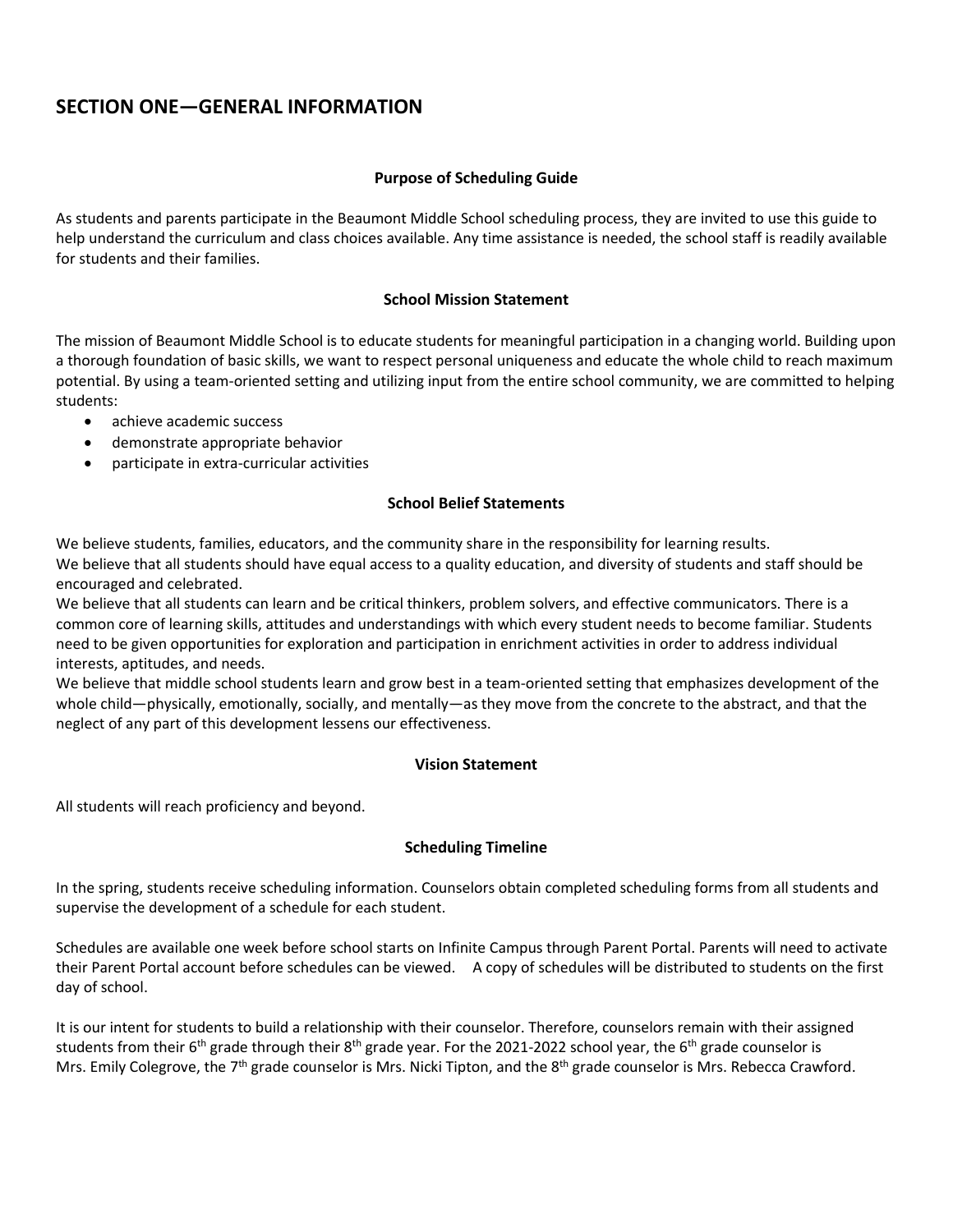# **SECTION ONE—GENERAL INFORMATION**

## **Purpose of Scheduling Guide**

As students and parents participate in the Beaumont Middle School scheduling process, they are invited to use this guide to help understand the curriculum and class choices available. Any time assistance is needed, the school staff is readily available for students and their families.

## **School Mission Statement**

The mission of Beaumont Middle School is to educate students for meaningful participation in a changing world. Building upon a thorough foundation of basic skills, we want to respect personal uniqueness and educate the whole child to reach maximum potential. By using a team-oriented setting and utilizing input from the entire school community, we are committed to helping students:

- achieve academic success
- demonstrate appropriate behavior
- participate in extra-curricular activities

### **School Belief Statements**

We believe students, families, educators, and the community share in the responsibility for learning results. We believe that all students should have equal access to a quality education, and diversity of students and staff should be encouraged and celebrated.

We believe that all students can learn and be critical thinkers, problem solvers, and effective communicators. There is a common core of learning skills, attitudes and understandings with which every student needs to become familiar. Students need to be given opportunities for exploration and participation in enrichment activities in order to address individual interests, aptitudes, and needs.

We believe that middle school students learn and grow best in a team-oriented setting that emphasizes development of the whole child—physically, emotionally, socially, and mentally—as they move from the concrete to the abstract, and that the neglect of any part of this development lessens our effectiveness.

### **Vision Statement**

All students will reach proficiency and beyond.

### **Scheduling Timeline**

In the spring, students receive scheduling information. Counselors obtain completed scheduling forms from all students and supervise the development of a schedule for each student.

Schedules are available one week before school starts on Infinite Campus through Parent Portal. Parents will need to activate their Parent Portal account before schedules can be viewed. A copy of schedules will be distributed to students on the first day of school.

It is our intent for students to build a relationship with their counselor. Therefore, counselors remain with their assigned students from their 6<sup>th</sup> grade through their 8<sup>th</sup> grade year. For the 2021-2022 school year, the 6<sup>th</sup> grade counselor is Mrs. Emily Colegrove, the 7<sup>th</sup> grade counselor is Mrs. Nicki Tipton, and the 8<sup>th</sup> grade counselor is Mrs. Rebecca Crawford.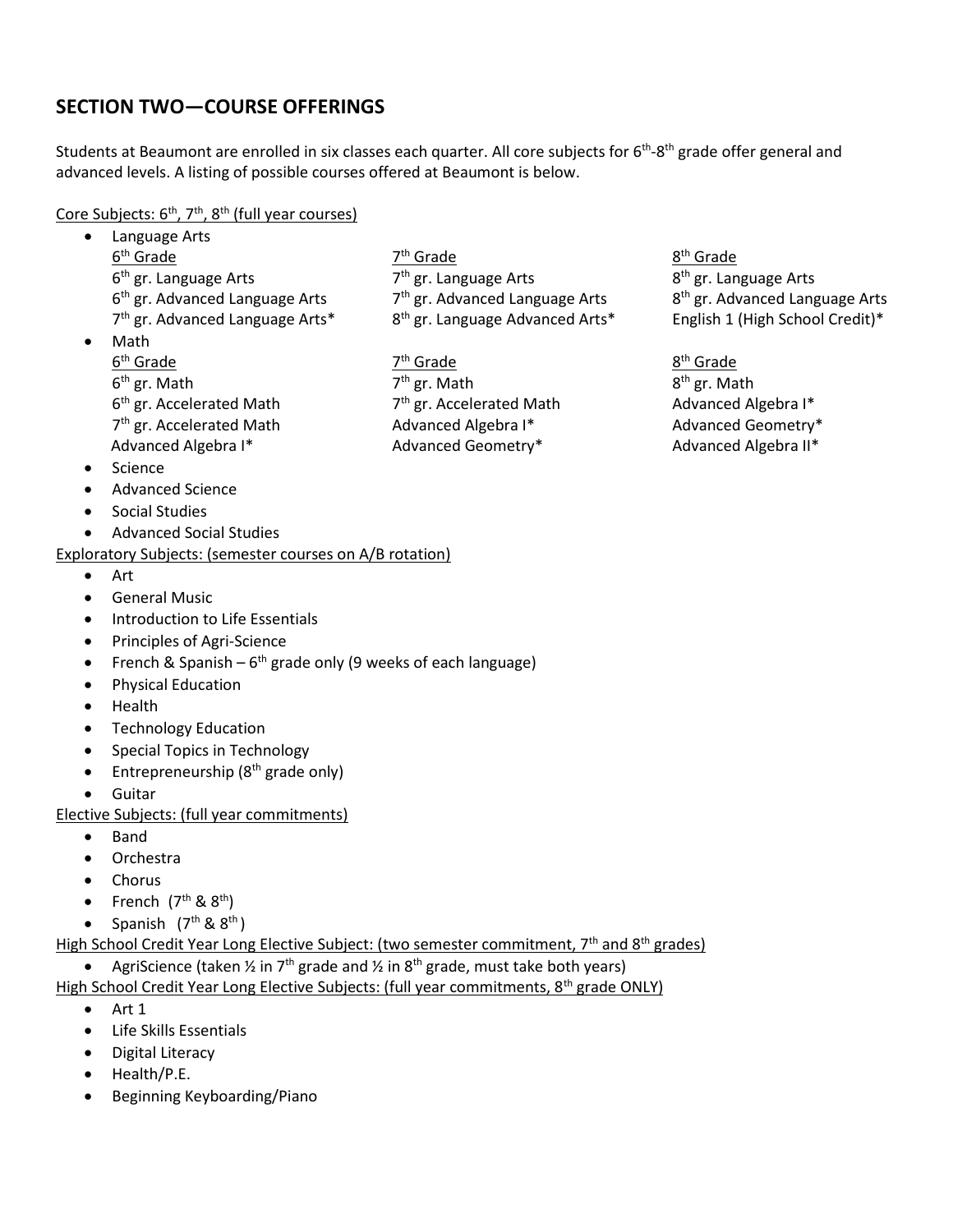# **SECTION TWO—COURSE OFFERINGS**

Students at Beaumont are enrolled in six classes each quarter. All core subjects for 6<sup>th</sup>-8<sup>th</sup> grade offer general and advanced levels. A listing of possible courses offered at Beaumont is below.

Core Subjects: 6<sup>th</sup>, 7<sup>th</sup>, 8<sup>th</sup> (full year courses)

|           | Language Arts                                                             |                                                                                                                             |                                            |
|-----------|---------------------------------------------------------------------------|-----------------------------------------------------------------------------------------------------------------------------|--------------------------------------------|
|           | 6 <sup>th</sup> Grade                                                     | 7 <sup>th</sup> Grade                                                                                                       | 8 <sup>th</sup> Grade                      |
|           | 6 <sup>th</sup> gr. Language Arts                                         | 7 <sup>th</sup> gr. Language Arts                                                                                           | 8 <sup>th</sup> gr. Language Arts          |
|           | 6 <sup>th</sup> gr. Advanced Language Arts                                | 7 <sup>th</sup> gr. Advanced Language Arts                                                                                  | 8 <sup>th</sup> gr. Advanced Language Arts |
|           | 7 <sup>th</sup> gr. Advanced Language Arts*                               | 8 <sup>th</sup> gr. Language Advanced Arts*                                                                                 | English 1 (High School Credit)*            |
|           | Math                                                                      |                                                                                                                             |                                            |
|           | 6 <sup>th</sup> Grade                                                     | 7 <sup>th</sup> Grade                                                                                                       | 8 <sup>th</sup> Grade                      |
|           | $6th$ gr. Math                                                            | 7 <sup>th</sup> gr. Math                                                                                                    | 8 <sup>th</sup> gr. Math                   |
|           | 6 <sup>th</sup> gr. Accelerated Math                                      | 7 <sup>th</sup> gr. Accelerated Math                                                                                        | Advanced Algebra I*                        |
|           | 7 <sup>th</sup> gr. Accelerated Math                                      | Advanced Algebra I*                                                                                                         | Advanced Geometry*                         |
|           | Advanced Algebra I*                                                       | Advanced Geometry*                                                                                                          | Advanced Algebra II*                       |
|           | Science                                                                   |                                                                                                                             |                                            |
|           | <b>Advanced Science</b>                                                   |                                                                                                                             |                                            |
|           | <b>Social Studies</b>                                                     |                                                                                                                             |                                            |
|           | <b>Advanced Social Studies</b>                                            |                                                                                                                             |                                            |
|           | Exploratory Subjects: (semester courses on A/B rotation)                  |                                                                                                                             |                                            |
|           | Art                                                                       |                                                                                                                             |                                            |
|           | <b>General Music</b>                                                      |                                                                                                                             |                                            |
|           | Introduction to Life Essentials                                           |                                                                                                                             |                                            |
|           | Principles of Agri-Science                                                |                                                                                                                             |                                            |
|           | French & Spanish $-6$ <sup>th</sup> grade only (9 weeks of each language) |                                                                                                                             |                                            |
|           | <b>Physical Education</b>                                                 |                                                                                                                             |                                            |
|           | Health                                                                    |                                                                                                                             |                                            |
|           | <b>Technology Education</b>                                               |                                                                                                                             |                                            |
|           | <b>Special Topics in Technology</b>                                       |                                                                                                                             |                                            |
|           | Entrepreneurship (8 <sup>th</sup> grade only)                             |                                                                                                                             |                                            |
|           | Guitar                                                                    |                                                                                                                             |                                            |
|           | Elective Subjects: (full year commitments)                                |                                                                                                                             |                                            |
|           | <b>Band</b>                                                               |                                                                                                                             |                                            |
|           | Orchestra                                                                 |                                                                                                                             |                                            |
|           | Chorus                                                                    |                                                                                                                             |                                            |
|           | French (7 <sup>th</sup> & 8 <sup>th</sup> )                               |                                                                                                                             |                                            |
|           | Spanish $(7th$ & $8th$ )                                                  |                                                                                                                             |                                            |
|           |                                                                           | High School Credit Year Long Elective Subject: (two semester commitment, 7 <sup>th</sup> and 8 <sup>th</sup> grades)        |                                            |
|           |                                                                           | AgriScience (taken $\frac{1}{2}$ in $7^{\text{th}}$ grade and $\frac{1}{2}$ in $8^{\text{th}}$ grade, must take both years) |                                            |
|           |                                                                           | High School Credit Year Long Elective Subjects: (full year commitments, 8 <sup>th</sup> grade ONLY)                         |                                            |
| $\bullet$ | Art 1                                                                     |                                                                                                                             |                                            |
|           | Life Skills Essentials                                                    |                                                                                                                             |                                            |
|           | <b>Digital Literacy</b>                                                   |                                                                                                                             |                                            |

- Health/P.E.
- Beginning Keyboarding/Piano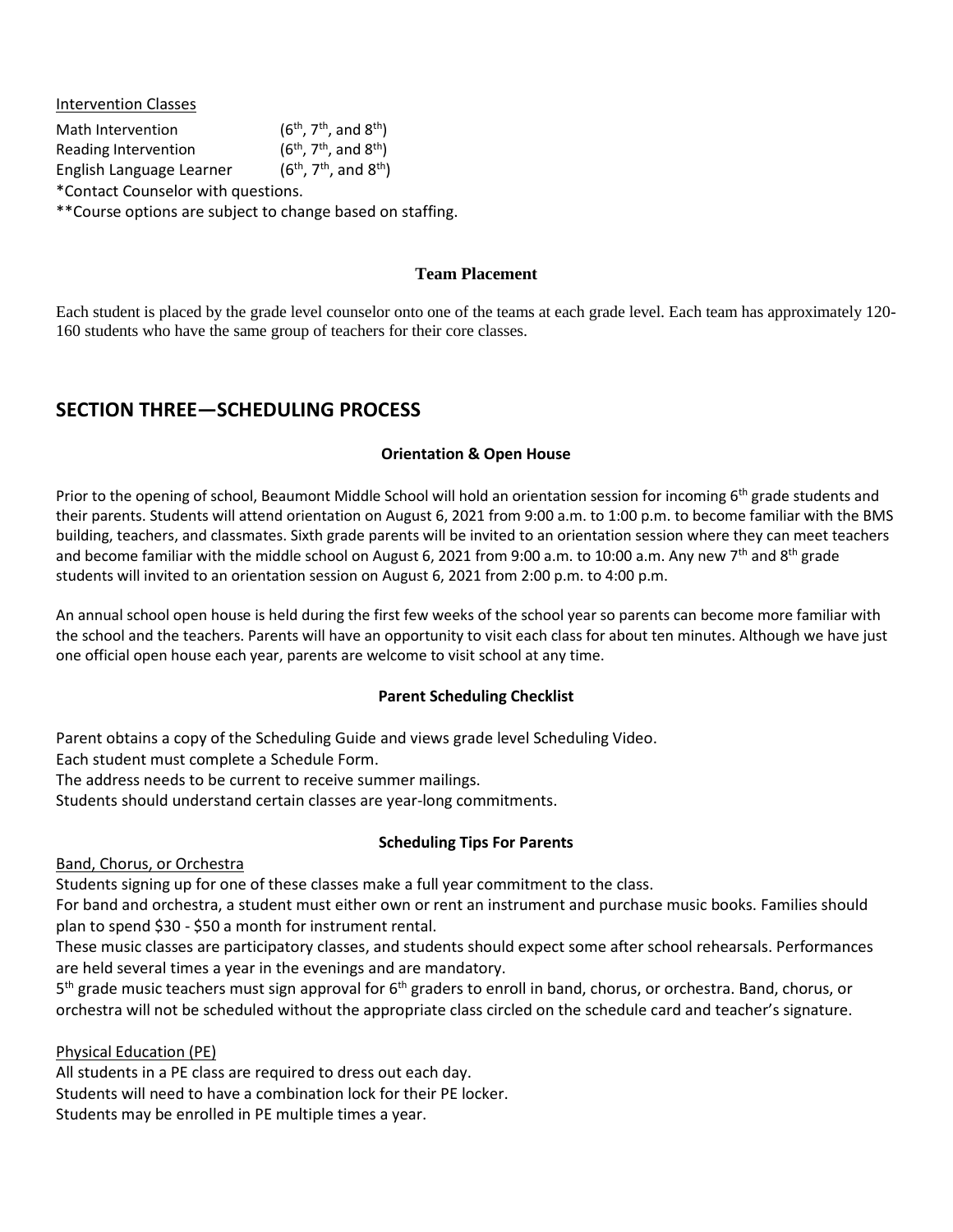Intervention Classes Math Intervention th ) Reading Intervention , 7<sup>th</sup>, and 8<sup>th</sup>) English Language Learner  $(6^{th}, 7^{th}, \text{and } 8^{th})$ \*Contact Counselor with questions.

\*\*Course options are subject to change based on staffing.

#### **Team Placement**

Each student is placed by the grade level counselor onto one of the teams at each grade level. Each team has approximately 120- 160 students who have the same group of teachers for their core classes.

## **SECTION THREE—SCHEDULING PROCESS**

### **Orientation & Open House**

Prior to the opening of school, Beaumont Middle School will hold an orientation session for incoming 6<sup>th</sup> grade students and their parents. Students will attend orientation on August 6, 2021 from 9:00 a.m. to 1:00 p.m. to become familiar with the BMS building, teachers, and classmates. Sixth grade parents will be invited to an orientation session where they can meet teachers and become familiar with the middle school on August 6, 2021 from 9:00 a.m. to 10:00 a.m. Any new 7<sup>th</sup> and 8<sup>th</sup> grade students will invited to an orientation session on August 6, 2021 from 2:00 p.m. to 4:00 p.m.

An annual school open house is held during the first few weeks of the school year so parents can become more familiar with the school and the teachers. Parents will have an opportunity to visit each class for about ten minutes. Although we have just one official open house each year, parents are welcome to visit school at any time.

#### **Parent Scheduling Checklist**

Parent obtains a copy of the Scheduling Guide and views grade level Scheduling Video.

Each student must complete a Schedule Form.

The address needs to be current to receive summer mailings.

Students should understand certain classes are year-long commitments.

### **Scheduling Tips For Parents**

#### Band, Chorus, or Orchestra

Students signing up for one of these classes make a full year commitment to the class.

For band and orchestra, a student must either own or rent an instrument and purchase music books. Families should plan to spend \$30 - \$50 a month for instrument rental.

These music classes are participatory classes, and students should expect some after school rehearsals. Performances are held several times a year in the evenings and are mandatory.

5<sup>th</sup> grade music teachers must sign approval for 6<sup>th</sup> graders to enroll in band, chorus, or orchestra. Band, chorus, or orchestra will not be scheduled without the appropriate class circled on the schedule card and teacher's signature.

### Physical Education (PE)

All students in a PE class are required to dress out each day. Students will need to have a combination lock for their PE locker. Students may be enrolled in PE multiple times a year.